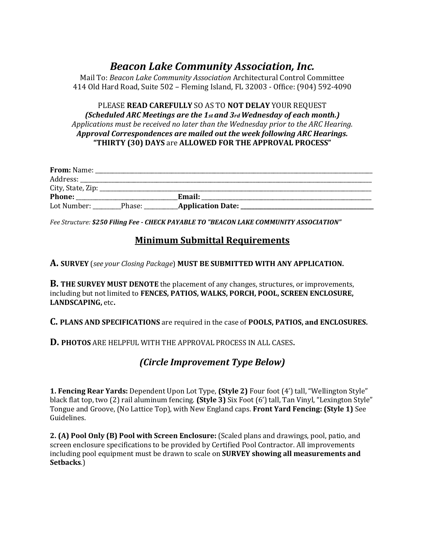# *Beacon Lake Community Association, Inc.*

Mail To: *Beacon Lake Community Association* Architectural Control Committee 414 Old Hard Road, Suite 502 – Fleming Island, FL 32003 - Office: (904) 592-4090

#### PLEASE **READ CAREFULLY** SO AS TO **NOT DELAY** YOUR REQUEST *(Scheduled ARC Meetings are the 1st and 3rd Wednesday of each month.) Applications must be received no later than the Wednesday prior to the ARC Hearing. Approval Correspondences are mailed out the week following ARC Hearings.* **"THIRTY (30) DAYS** are **ALLOWED FOR THE APPROVAL PROCESS"**

| From: Name:       |        |                          |  |
|-------------------|--------|--------------------------|--|
| Address:          |        |                          |  |
| City, State, Zip: |        |                          |  |
| <b>Phone:</b>     |        | Email:                   |  |
| Lot Number:       | Phase: | <b>Application Date:</b> |  |

*Fee Structure: \$250 Filing Fee - CHECK PAYABLE TO "BEACON LAKE COMMUNITY ASSOCIATION"* 

## **Minimum Submittal Requirements**

**A. SURVEY** (*see your Closing Package*) **MUST BE SUBMITTED WITH ANY APPLICATION.** 

**B. THE SURVEY MUST DENOTE** the placement of any changes, structures, or improvements, including but not limited to **FENCES, PATIOS, WALKS, PORCH, POOL, SCREEN ENCLOSURE, LANDSCAPING,** etc**.** 

**C. PLANS AND SPECIFICATIONS** are required in the case of **POOLS, PATIOS, and ENCLOSURES.** 

**D. PHOTOS** ARE HELPFUL WITH THE APPROVAL PROCESS IN ALL CASES**.** 

## *(Circle Improvement Type Below)*

**1. Fencing Rear Yards:** Dependent Upon Lot Type, **(Style 2)** Four foot (4') tall, "Wellington Style" black flat top, two (2) rail aluminum fencing. **(Style 3)** Six Foot (6') tall, Tan Vinyl, "Lexington Style" Tongue and Groove, (No Lattice Top), with New England caps. **Front Yard Fencing: (Style 1)** See Guidelines.

**2. (A) Pool Only (B) Pool with Screen Enclosure:** (Scaled plans and drawings, pool, patio, and screen enclosure specifications to be provided by Certified Pool Contractor. All improvements including pool equipment must be drawn to scale on **SURVEY showing all measurements and Setbacks**.)